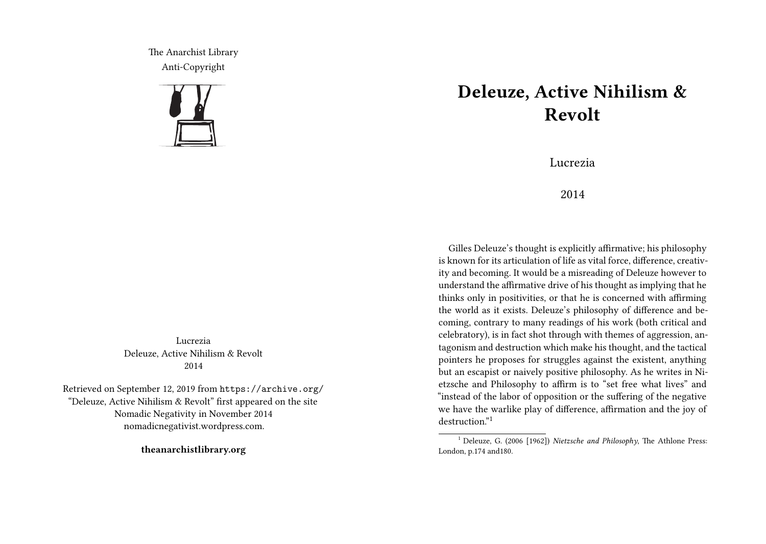The Anarchist Library Anti-Copyright



Lucrezia Deleuze, Active Nihilism & Revolt 2014

Retrieved on September 12, 2019 from https://archive.org/ "Deleuze, Active Nihilism & Revolt" first appeared on the site Nomadic Negativity in November 2014 nomadicnegativist.wordpress.com.

**theanarchistlibrary.org**

## **Deleuze, Active Nihilism & Revolt**

Lucrezia

2014

Gilles Deleuze's thought is explicitly affirmative; his philosophy is known for its articulation of life as vital force, difference, creativity and becoming. It would be a misreading of Deleuze however to understand the affirmative drive of his thought as implying that he thinks only in positivities, or that he is concerned with affirming the world as it exists. Deleuze's philosophy of difference and becoming, contrary to many readings of his work (both critical and celebratory), is in fact shot through with themes of aggression, antagonism and destruction which make his thought, and the tactical pointers he proposes for struggles against the existent, anything but an escapist or naively positive philosophy. As he writes in Nietzsche and Philosophy to affirm is to "set free what lives" and "instead of the labor of opposition or the suffering of the negative we have the warlike play of difference, affirmation and the joy of destruction<sup>"1</sup>

<sup>1</sup> Deleuze, G. (2006 [1962]) *Nietzsche and Philosophy*, The Athlone Press: London, p.174 and180.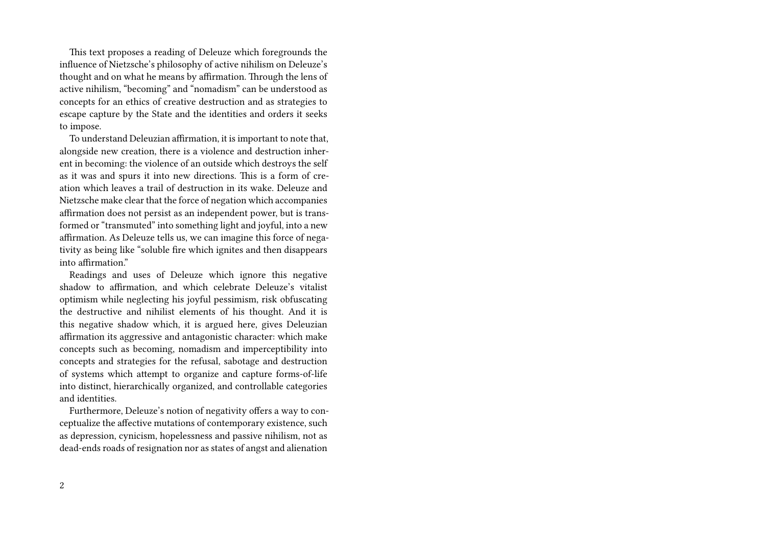This text proposes a reading of Deleuze which foregrounds the influence of Nietzsche's philosophy of active nihilism on Deleuze's thought and on what he means by affirmation. Through the lens of active nihilism, "becoming" and "nomadism" can be understood as concepts for an ethics of creative destruction and as strategies to escape capture by the State and the identities and orders it seeks to impose.

To understand Deleuzian affirmation, it is important to note that, alongside new creation, there is a violence and destruction inherent in becoming: the violence of an outside which destroys the self as it was and spurs it into new directions. This is a form of creation which leaves a trail of destruction in its wake. Deleuze and Nietzsche make clear that the force of negation which accompanies affirmation does not persist as an independent power, but is transformed or "transmuted" into something light and joyful, into a new affirmation. As Deleuze tells us, we can imagine this force of negativity as being like "soluble fire which ignites and then disappears into affirmation."

Readings and uses of Deleuze which ignore this negative shadow to affirmation, and which celebrate Deleuze's vitalist optimism while neglecting his joyful pessimism, risk obfuscating the destructive and nihilist elements of his thought. And it is this negative shadow which, it is argued here, gives Deleuzian affirmation its aggressive and antagonistic character: which make concepts such as becoming, nomadism and imperceptibility into concepts and strategies for the refusal, sabotage and destruction of systems which attempt to organize and capture forms-of-life into distinct, hierarchically organized, and controllable categories and identities.

Furthermore, Deleuze's notion of negativity offers a way to conceptualize the affective mutations of contemporary existence, such as depression, cynicism, hopelessness and passive nihilism, not as dead-ends roads of resignation nor as states of angst and alienation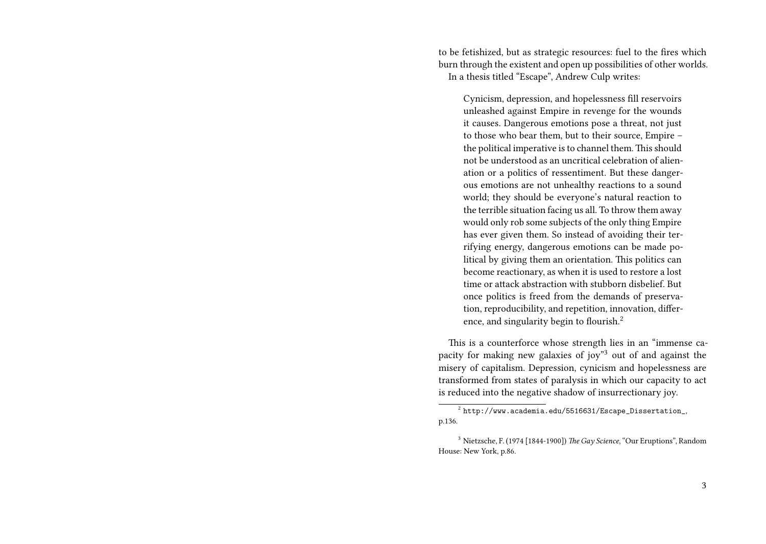to be fetishized, but as strategic resources: fuel to the fires which burn through the existent and open up possibilities of other worlds. In a thesis titled "Escape", Andrew Culp writes:

Cynicism, depression, and hopelessness fill reservoirs unleashed against Empire in revenge for the wounds it causes. Dangerous emotions pose a threat, not just to those who bear them, but to their source, Empire – the political imperative is to channel them. This should not be understood as an uncritical celebration of alienation or a politics of ressentiment. But these dangerous emotions are not unhealthy reactions to a sound world; they should be everyone's natural reaction to the terrible situation facing us all. To throw them away would only rob some subjects of the only thing Empire has ever given them. So instead of avoiding their terrifying energy, dangerous emotions can be made political by giving them an orientation. This politics can become reactionary, as when it is used to restore a lost time or attack abstraction with stubborn disbelief. But once politics is freed from the demands of preservation, reproducibility, and repetition, innovation, difference, and singularity begin to flourish.<sup>2</sup>

This is a counterforce whose strength lies in an "immense capacity for making new galaxies of joy"<sup>3</sup> out of and against the misery of capitalism. Depression, cynicism and hopelessness are transformed from states of paralysis in which our capacity to act is reduced into the negative shadow of insurrectionary joy.

 $^2$  http://www.academia.edu/5516631/Escape\_Dissertation\_, p.136.

<sup>3</sup> Nietzsche, F. (1974 [1844-1900]) *The Gay Science*, "Our Eruptions", Random House: New York, p.86.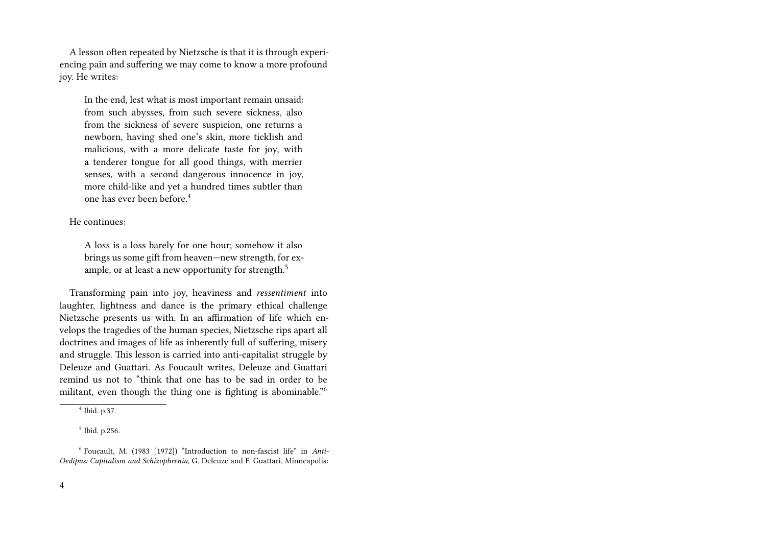A lesson often repeated by Nietzsche is that it is through experiencing pain and suffering we may come to know a more profound joy. He writes:

In the end, lest what is most important remain unsaid: from such abysses, from such severe sickness, also from the sickness of severe suspicion, one returns a newborn, having shed one's skin, more ticklish and malicious, with a more delicate taste for joy, with a tenderer tongue for all good things, with merrier senses, with a second dangerous innocence in joy, more child-like and yet a hundred times subtler than one has ever been before.<sup>4</sup>

## He continues:

A loss is a loss barely for one hour; somehow it also brings us some gift from heaven—new strength, for example, or at least a new opportunity for strength.<sup>5</sup>

Transforming pain into joy, heaviness and *ressentiment* into laughter, lightness and dance is the primary ethical challenge Nietzsche presents us with. In an affirmation of life which envelops the tragedies of the human species, Nietzsche rips apart all doctrines and images of life as inherently full of suffering, misery and struggle. This lesson is carried into anti-capitalist struggle by Deleuze and Guattari. As Foucault writes, Deleuze and Guattari remind us not to "think that one has to be sad in order to be militant, even though the thing one is fighting is abominable."<sup>6</sup>

<sup>4</sup> Ibid. p.37.

<sup>5</sup> Ibid. p.256.

<sup>6</sup> Foucault, M. (1983 [1972]) "Introduction to non-fascist life" in *Anti-Oedipus: Capitalism and Schizophrenia*, G. Deleuze and F. Guattari, Minneapolis: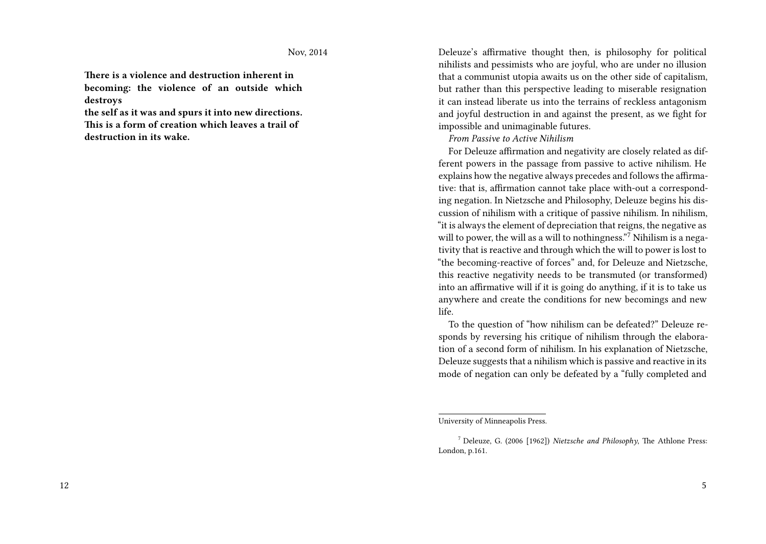**There is a violence and destruction inherent in becoming: the violence of an outside which destroys**

**the self as it was and spurs it into new directions. This is a form of creation which leaves a trail of destruction in its wake.**

Deleuze's affirmative thought then, is philosophy for political nihilists and pessimists who are joyful, who are under no illusion that a communist utopia awaits us on the other side of capitalism, but rather than this perspective leading to miserable resignation it can instead liberate us into the terrains of reckless antagonism and joyful destruction in and against the present, as we fight for impossible and unimaginable futures.

*From Passive to Active Nihilism*

For Deleuze affirmation and negativity are closely related as different powers in the passage from passive to active nihilism. He explains how the negative always precedes and follows the affirmative: that is, affirmation cannot take place with-out a corresponding negation. In Nietzsche and Philosophy, Deleuze begins his discussion of nihilism with a critique of passive nihilism. In nihilism, "it is always the element of depreciation that reigns, the negative as will to power, the will as a will to nothingness."<sup>7</sup> Nihilism is a negativity that is reactive and through which the will to power is lost to "the becoming-reactive of forces" and, for Deleuze and Nietzsche, this reactive negativity needs to be transmuted (or transformed) into an affirmative will if it is going do anything, if it is to take us anywhere and create the conditions for new becomings and new life.

To the question of "how nihilism can be defeated?" Deleuze responds by reversing his critique of nihilism through the elaboration of a second form of nihilism. In his explanation of Nietzsche, Deleuze suggests that a nihilism which is passive and reactive in its mode of negation can only be defeated by a "fully completed and

University of Minneapolis Press.

<sup>7</sup> Deleuze, G. (2006 [1962]) *Nietzsche and Philosophy*, The Athlone Press: London, p.161.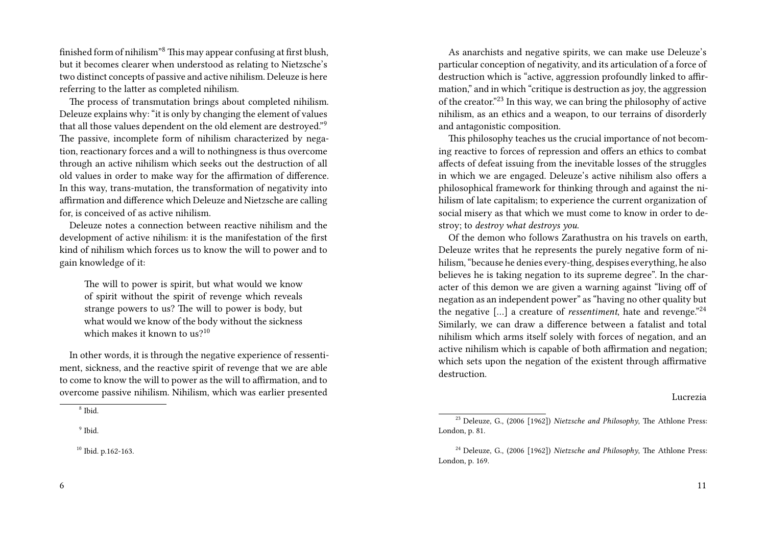finished form of nihilism"<sup>8</sup> This may appear confusing at first blush, but it becomes clearer when understood as relating to Nietzsche's two distinct concepts of passive and active nihilism. Deleuze is here referring to the latter as completed nihilism.

The process of transmutation brings about completed nihilism. Deleuze explains why: "it is only by changing the element of values that all those values dependent on the old element are destroyed."<sup>9</sup> The passive, incomplete form of nihilism characterized by negation, reactionary forces and a will to nothingness is thus overcome through an active nihilism which seeks out the destruction of all old values in order to make way for the affirmation of difference. In this way, trans-mutation, the transformation of negativity into affirmation and difference which Deleuze and Nietzsche are calling for, is conceived of as active nihilism.

Deleuze notes a connection between reactive nihilism and the development of active nihilism: it is the manifestation of the first kind of nihilism which forces us to know the will to power and to gain knowledge of it:

The will to power is spirit, but what would we know of spirit without the spirit of revenge which reveals strange powers to us? The will to power is body, but what would we know of the body without the sickness which makes it known to  $us<sup>10</sup>$ 

In other words, it is through the negative experience of ressentiment, sickness, and the reactive spirit of revenge that we are able to come to know the will to power as the will to affirmation, and to overcome passive nihilism. Nihilism, which was earlier presented

As anarchists and negative spirits, we can make use Deleuze's particular conception of negativity, and its articulation of a force of destruction which is "active, aggression profoundly linked to affirmation," and in which "critique is destruction as joy, the aggression of the creator."<sup>23</sup> In this way, we can bring the philosophy of active nihilism, as an ethics and a weapon, to our terrains of disorderly and antagonistic composition.

This philosophy teaches us the crucial importance of not becoming reactive to forces of repression and offers an ethics to combat affects of defeat issuing from the inevitable losses of the struggles in which we are engaged. Deleuze's active nihilism also offers a philosophical framework for thinking through and against the nihilism of late capitalism; to experience the current organization of social misery as that which we must come to know in order to destroy; to *destroy what destroys you*.

Of the demon who follows Zarathustra on his travels on earth, Deleuze writes that he represents the purely negative form of nihilism, "because he denies every-thing, despises everything, he also believes he is taking negation to its supreme degree". In the character of this demon we are given a warning against "living off of negation as an independent power" as "having no other quality but the negative […] a creature of *ressentiment*, hate and revenge."<sup>24</sup> Similarly, we can draw a difference between a fatalist and total nihilism which arms itself solely with forces of negation, and an active nihilism which is capable of both affirmation and negation; which sets upon the negation of the existent through affirmative destruction.

## Lucrezia

<sup>8</sup> Ibid.

<sup>9</sup> Ibid.

<sup>10</sup> Ibid. p.162-163.

<sup>23</sup> Deleuze, G., (2006 [1962]) *Nietzsche and Philosophy*, The Athlone Press: London, p. 81.

<sup>24</sup> Deleuze, G., (2006 [1962]) *Nietzsche and Philosophy*, The Athlone Press: London, p. 169.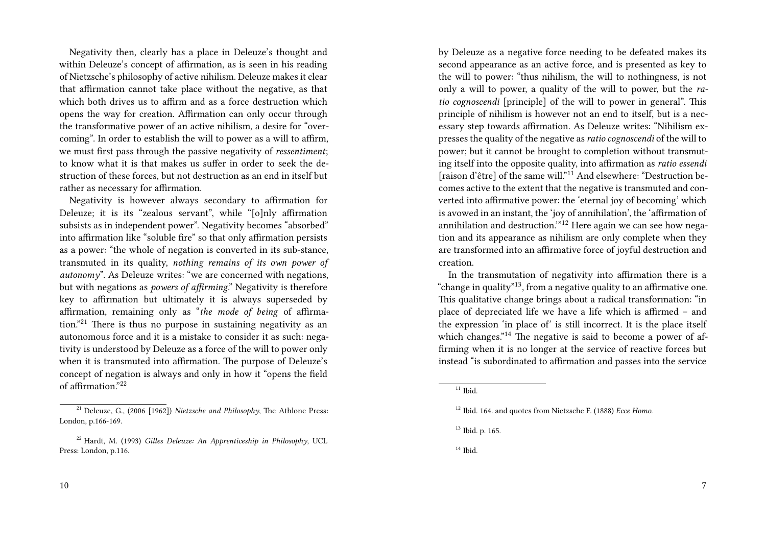Negativity then, clearly has a place in Deleuze's thought and within Deleuze's concept of affirmation, as is seen in his reading of Nietzsche's philosophy of active nihilism. Deleuze makes it clear that affirmation cannot take place without the negative, as that which both drives us to affirm and as a force destruction which opens the way for creation. Affirmation can only occur through the transformative power of an active nihilism, a desire for "overcoming". In order to establish the will to power as a will to affirm, we must first pass through the passive negativity of *ressentiment*; to know what it is that makes us suffer in order to seek the destruction of these forces, but not destruction as an end in itself but rather as necessary for affirmation.

Negativity is however always secondary to affirmation for Deleuze; it is its "zealous servant", while "[o]nly affirmation subsists as in independent power". Negativity becomes "absorbed" into affirmation like "soluble fire" so that only affirmation persists as a power: "the whole of negation is converted in its sub-stance, transmuted in its quality, *nothing remains of its own power of autonomy*". As Deleuze writes: "we are concerned with negations, but with negations as *powers of affirming*." Negativity is therefore key to affirmation but ultimately it is always superseded by affirmation, remaining only as "*the mode of being* of affirmation."<sup>21</sup> There is thus no purpose in sustaining negativity as an autonomous force and it is a mistake to consider it as such: negativity is understood by Deleuze as a force of the will to power only when it is transmuted into affirmation. The purpose of Deleuze's concept of negation is always and only in how it "opens the field of affirmation."<sup>22</sup>

by Deleuze as a negative force needing to be defeated makes its second appearance as an active force, and is presented as key to the will to power: "thus nihilism, the will to nothingness, is not only a will to power, a quality of the will to power, but the *ratio cognoscendi* [principle] of the will to power in general". This principle of nihilism is however not an end to itself, but is a necessary step towards affirmation. As Deleuze writes: "Nihilism expresses the quality of the negative as*ratio cognoscendi* of the will to power; but it cannot be brought to completion without transmuting itself into the opposite quality, into affirmation as *ratio essendi* [raison d'être] of the same will."<sup>11</sup> And elsewhere: "Destruction becomes active to the extent that the negative is transmuted and converted into affirmative power: the 'eternal joy of becoming' which is avowed in an instant, the 'joy of annihilation', the 'affirmation of annihilation and destruction.'"<sup>12</sup> Here again we can see how negation and its appearance as nihilism are only complete when they are transformed into an affirmative force of joyful destruction and creation.

In the transmutation of negativity into affirmation there is a "change in quality"13, from a negative quality to an affirmative one. This qualitative change brings about a radical transformation: "in place of depreciated life we have a life which is affirmed – and the expression 'in place of' is still incorrect. It is the place itself which changes.<sup>"14</sup> The negative is said to become a power of affirming when it is no longer at the service of reactive forces but instead "is subordinated to affirmation and passes into the service

<sup>21</sup> Deleuze, G., (2006 [1962]) *Nietzsche and Philosophy*, The Athlone Press: London, p.166-169.

<sup>22</sup> Hardt, M. (1993) *Gilles Deleuze: An Apprenticeship in Philosophy*, UCL Press: London, p.116.

 $11$  Ibid.

<sup>12</sup> Ibid. 164. and quotes from Nietzsche F. (1888) *Ecce Homo*.

<sup>13</sup> Ibid. p. 165.

 $14$  Ibid.